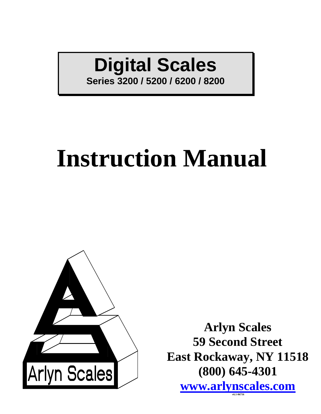# **Digital Scales**

**Series 3200 / 5200 / 6200 / 8200**

# **Instruction Manual**



**Arlyn Scales 59 Second Street East Rockaway, NY 11518 (800) 645-4301 [www.arlynscales.com](http://www.arlynscales.com/) v6.1-06716**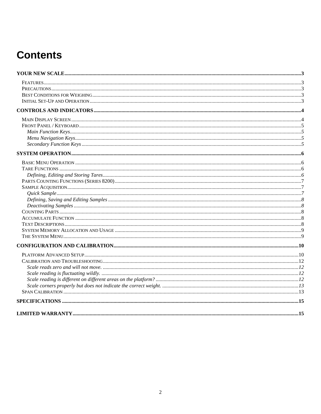# **Contents**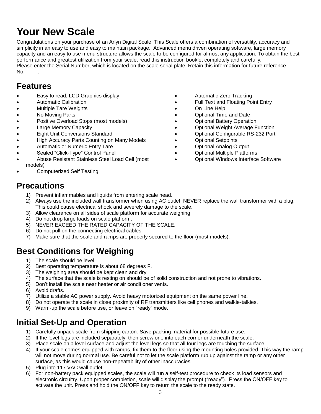# **Your New Scale**

Congratulations on your purchase of an Arlyn Digital Scale. This Scale offers a combination of versatility, accuracy and simplicity in an easy to use and easy to maintain package. Advanced menu driven operating software, large memory capacity and an easy to use menu structure allows the scale to be configured for almost any application. To obtain the best performance and greatest utilization from your scale, read this instruction booklet completely and carefully. Please enter the Serial Number, which is located on the scale serial plate. Retain this information for future reference.  $No.$ 

### **Features**

- Easy to read, LCD Graphics display
- Automatic Calibration
- Multiple Tare Weights
- No Moving Parts
- Positive Overload Stops (most models)
- Large Memory Capacity
- Eight Unit Conversions Standard
- High Accuracy Parts Counting on Many Models
- Automatic or Numeric Entry Tare
- Sealed "Click-Type" Control Panel
- Abuse Resistant Stainless Steel Load Cell (most models)
- Computerized Self Testing
- Automatic Zero Tracking
- Full Text and Floating Point Entry
- On Line Help
- Optional Time and Date
- Optional Battery Operation
- Optional Weight Average Function
- Optional Configurable RS-232 Port
- Optional Setpoints
- Optional Analog Output
- Optional Multiple Platforms
- Optional Windows Interface Software

### **Precautions**

- 1) Prevent inflammables and liquids from entering scale head.
- 2) Always use the included wall transformer when using AC outlet. NEVER replace the wall transformer with a plug. This could cause electrical shock and severely damage to the scale.
- 3) Allow clearance on all sides of scale platform for accurate weighing.
- 4) Do not drop large loads on scale platform.
- 5) NEVER EXCEED THE RATED CAPACITY OF THE SCALE.
- 6) Do not pull on the connecting electrical cables.
- 7) Make sure that the scale and ramps are properly secured to the floor (most models).

### **Best Conditions for Weighing**

- 1) The scale should be level.
- 2) Best operating temperature is about 68 degrees F.
- 3) The weighing area should be kept clean and dry.
- 4) The surface that the scale is resting on should be of solid construction and not prone to vibrations.
- 5) Don't install the scale near heater or air conditioner vents.
- 6) Avoid drafts.
- 7) Utilize a stable AC power supply. Avoid heavy motorized equipment on the same power line.
- 8) Do not operate the scale in close proximity of RF transmitters like cell phones and walkie-talkies.
- 9) Warm-up the scale before use, or leave on "ready" mode.

### **Initial Set-Up and Operation**

- 1) Carefully unpack scale from shipping carton. Save packing material for possible future use.
- 2) If the level legs are included separately, then screw one into each corner underneath the scale.
- 3) Place scale on a level surface and adjust the level legs so that all four legs are touching the surface.
- 4) If your scale comes equipped with ramps, fix them to the floor using the mounting holes provided. This way the ramp will not move during normal use. Be careful not to let the scale platform rub up against the ramp or any other surface, as this would cause non-repeatability of other inaccuracies.
- 5) Plug into 117 VAC wall outlet.
- 6) For non-battery pack equipped scales, the scale will run a self-test procedure to check its load sensors and electronic circuitry. Upon proper completion, scale will display the prompt ("ready"). Press the ON/OFF key to activate the unit. Press and hold the ON/OFF key to return the scale to the ready state.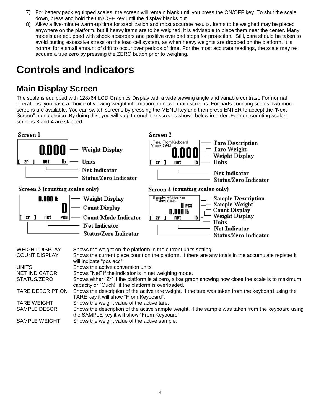- 7) For battery pack equipped scales, the screen will remain blank until you press the ON/OFF key. To shut the scale down, press and hold the ON/OFF key until the display blanks out.
- 8) Allow a five-minute warm-up time for stabilization and most accurate results. Items to be weighed may be placed anywhere on the platform, but if heavy items are to be weighed, it is advisable to place them near the center. Many models are equipped with shock absorbers and positive overload stops for protection. Still, care should be taken to avoid putting excessive stress on the load cell system, as when heavy weights are dropped on the platform. It is normal for a small amount of drift to occur over periods of time. For the most accurate readings, the scale may reacquire a true zero by pressing the ZERO button prior to weighing.

# **Controls and Indicators**

### **Main Display Screen**

The scale is equipped with 128x64 LCD Graphics Display with a wide viewing angle and variable contrast. For normal operations, you have a choice of viewing weight information from two main screens. For parts counting scales, two more screens are available. You can switch screens by pressing the MENU key and then press ENTER to accept the "Next Screen" menu choice. By doing this, you will step through the screens shown below in order. For non-counting scales screens 3 and 4 are skipped.

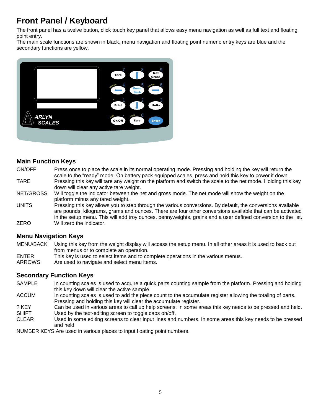### **Front Panel / Keyboard**

The front panel has a twelve button, click touch key panel that allows easy menu navigation as well as full text and floating point entry.

The main scale functions are shown in black, menu navigation and floating point numeric entry keys are blue and the secondary functions are yellow.



### **Main Function Keys**

- ON/OFF Press once to place the scale in its normal operating mode. Pressing and holding the key will return the scale to the "ready" mode. On battery pack equipped scales, press and hold this key to power it down. TARE Pressing this key will tare any weight on the platform and switch the scale to the net mode. Holding this key
- down will clear any active tare weight.

NET/GROSS Will toggle the indicator between the net and gross mode. The net mode will show the weight on the platform minus any tared weight.

UNITS Pressing this key allows you to step through the various conversions. By default, the conversions available are pounds, kilograms, grams and ounces. There are four other conversions available that can be activated in the setup menu. This will add troy ounces, pennyweights, grains and a user defined conversion to the list. ZERO Will zero the indicator.

### **Menu Navigation Keys**

- MENU/BACK Using this key from the weight display will access the setup menu. In all other areas it is used to back out from menus or to complete an operation.
- ENTER This key is used to select items and to complete operations in the various menus.
- ARROWS Are used to navigate and select menu items.

### **Secondary Function Keys**

- SAMPLE In counting scales is used to acquire a quick parts counting sample from the platform. Pressing and holding this key down will clear the active sample.
- ACCUM In counting scales is used to add the piece count to the accumulate register allowing the totaling of parts. Pressing and holding this key will clear the accumulate register.
- ? KEY Can be used in various areas to call up help screens. In some areas this key needs to be pressed and held.
- SHIFT Used by the text-editing screen to toggle caps on/off.
- CLEAR Used in some editing screens to clear input lines and numbers. In some areas this key needs to be pressed and held.

NUMBER KEYS Are used in various places to input floating point numbers.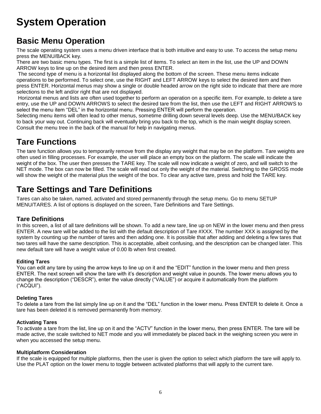# **System Operation**

### **Basic Menu Operation**

The scale operating system uses a menu driven interface that is both intuitive and easy to use. To access the setup menu press the MENU/BACK key.

There are two basic menu types. The first is a simple list of items. To select an item in the list, use the UP and DOWN ARROW keys to line up on the desired item and then press ENTER.

The second type of menu is a horizontal list displayed along the bottom of the screen. These menu items indicate operations to be performed. To select one, use the RIGHT and LEFT ARROW keys to select the desired item and then press ENTER. Horizontal menus may show a single or double headed arrow on the right side to indicate that there are more selections to the left and/or right that are not displayed.

Horizontal menus and lists are often used together to perform an operation on a specific item. For example, to delete a tare entry, use the UP and DOWN ARROWS to select the desired tare from the list, then use the LEFT and RIGHT ARROWS to select the menu item "DEL" in the horizontal menu. Pressing ENTER will perform the operation.

Selecting menu items will often lead to other menus, sometime drilling down several levels deep. Use the MENU/BACK key to back your way out. Continuing back will eventually bring you back to the top, which is the main weight display screen. Consult the menu tree in the back of the manual for help in navigating menus.

### **Tare Functions**

The tare function allows you to temporarily remove from the display any weight that may be on the platform. Tare weights are often used in filling processes. For example, the user will place an empty box on the platform. The scale will indicate the weight of the box. The user then presses the TARE key. The scale will now indicate a weight of zero, and will switch to the NET mode. The box can now be filled. The scale will read out only the weight of the material. Switching to the GROSS mode will show the weight of the material plus the weight of the box. To clear any active tare, press and hold the TARE key.

### **Tare Settings and Tare Definitions**

Tares can also be taken, named, activated and stored permanently through the setup menu. Go to menu SETUP MENU/TARES. A list of options is displayed on the screen, Tare Definitions and Tare Settings.

### **Tare Definitions**

In this screen, a list of all tare definitions will be shown. To add a new tare, line up on NEW in the lower menu and then press ENTER. A new tare will be added to the list with the default description of Tare #XXX. The number XXX is assigned by the system by counting up the number of tares and then adding one. It is possible that after adding and deleting a few tares that two tares will have the same description. This is acceptable, albeit confusing, and the description can be changed later. This new default tare will have a weight value of 0.00 lb when first created.

### **Editing Tares**

You can edit any tare by using the arrow keys to line up on it and the "EDIT" function in the lower menu and then press ENTER. The next screen will show the tare with it's description and weight value in pounds. The lower menu allows you to change the description ("DESCR"), enter the value directly ("VALUE") or acquire it automatically from the platform ("ACQUI").

### **Deleting Tares**

To delete a tare from the list simply line up on it and the "DEL" function in the lower menu. Press ENTER to delete it. Once a tare has been deleted it is removed permanently from memory.

### **Activating Tares**

To activate a tare from the list, line up on it and the "ACTV" function in the lower menu, then press ENTER. The tare will be made active, the scale switched to NET mode and you will immediately be placed back in the weighing screen you were in when you accessed the setup menu.

### **Multiplatform Consideration**

If the scale is equipped for multiple platforms, then the user is given the option to select which platform the tare will apply to. Use the PLAT option on the lower menu to toggle between activated platforms that will apply to the current tare.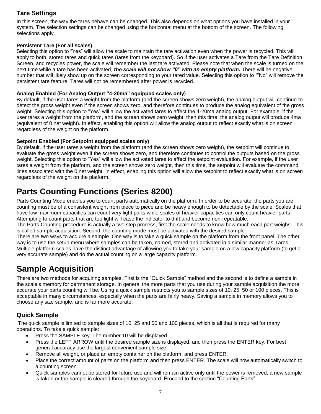### **Tare Settings**

In this screen, the way the tares behave can be changed. This also depends on what options you have installed in your system. The selection settings can be changed using the horizontal menu at the bottom of the screen. The following selections apply.

#### **Persistent Tare (For all scales)**

Selecting this option to "Yes" will allow the scale to maintain the tare activation even when the power is recycled. This will apply to both, stored tares and quick tares (tares from the keyboard). So if the user activates a Tare from the Tare Definition Screen, and recycles power, the scale will remember the last tare activated. Please note that when the scale is turned on the next time while a tare has been activated, *the scale will not show "0" with an empty platform.* There will be negative number that will likely show up on the screen corresponding to your tared value. Selecting this option to ""No" will remove the persistent tare feature. Tares will not be remembered after power is recycled.

#### **Analog Enabled (For Analog Output "4-20ma" equipped scales only)**

By default, if the user tares a weight from the platform (and the screen shows zero weight), the analog output will continue to detect the gross weight even if the screen shows zero, and therefore continues to produce the analog equivalent of the gross weight. Selecting this option to "Yes" will allow the activated tares to affect the 4-20ma analog output. For example, if the user tares a weight from the platform, and the screen shows zero weight, then this time, the analog output will produce 4ma (equivalent of 0 net weight). In effect, enabling this option will allow the analog output to reflect exactly what is on screen regardless of the weight on the platform.

### **Setpoint Enabled (For Setpoint equipped scales only)**

By default, if the user tares a weight from the platform (and the screen shows zero weight), the setpoint will continue to evaluate the gross weight even if the screen shows zero, and therefore continues to control the outputs based on the gross weight. Selecting this option to "Yes" will allow the activated tares to affect the setpoint evaluation. For example, if the user tares a weight from the platform, and the screen shows zero weight, then this time, the setpoint will evaluate the command lines associated with the 0 net weight. In effect, enabling this option will allow the setpoint to reflect exactly what is on screen regardless of the weight on the platform.

### **Parts Counting Functions (Series 8200)**

Parts Counting Mode enables you to count parts automatically on the platform. In order to be accurate, the parts you are counting must be of a consistent weight from piece to piece and be heavy enough to be detectable by the scale. Scales that have low maximum capacities can count very light parts while scales of heavier capacities can only count heavier parts. Attempting to count parts that are too light will case the indicator to drift and become non-repeatable.

The Parts Counting procedure is actually a two step process, first the scale needs to know how much each part weighs. This is called sample acquisition. Second, the counting mode must be activated with the desired sample.

There are two ways to acquire a sample. One way is to take a quick sample on the platform from the front panel. The other way is to use the setup menu where samples can be taken, named, stored and activated in a similar manner as Tares. Multiple platform scales have the distinct advantage of allowing you to take your sample on a low capacity platform (to get a very accurate sample) and do the actual counting on a large capacity platform.

### **Sample Acquisition**

There are two methods for acquiring samples. First is the "Quick Sample" method and the second is to define a sample in the scale's memory for permanent storage. In general the more parts that you use during your sample acquisition the more accurate your parts counting will be. Using a quick sample restricts you to sample sizes of 10, 25, 50 or 100 pieces. This is acceptable in many circumstances, especially when the parts are fairly heavy. Saving a sample in memory allows you to choose any size sample, and is far more accurate.

### **Quick Sample**

The quick sample is limited to sample sizes of 10, 25 and 50 and 100 pieces, which is all that is required for many operations. To take a quick sample:

- Press the SAMPLE key. The number 10 will be displayed.
- Press the LEFT ARROW until the desired sample size is displayed, and then press the ENTER key. For best general accuracy use the largest convenient sample size.
- Remove all weight, or place an empty container on the platform, and press ENTER.
- Place the correct amount of parts on the platform and then press ENTER. The scale will now automatically switch to a counting screen.
- Quick samples cannot be stored for future use and will remain active only until the power is removed, a new sample is taken or the sample is cleared through the keyboard. Proceed to the section "Counting Parts".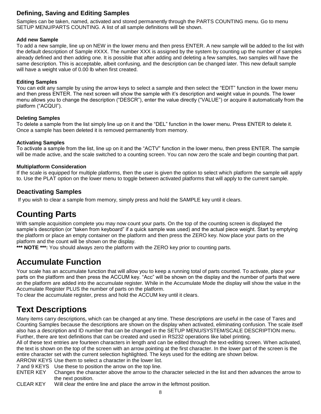### **Defining, Saving and Editing Samples**

Samples can be taken, named, activated and stored permanently through the PARTS COUNTING menu. Go to menu SETUP MENU/PARTS COUNTING. A list of all sample definitions will be shown.

#### **Add new Sample**

To add a new sample, line up on NEW in the lower menu and then press ENTER. A new sample will be added to the list with the default description of Sample #XXX. The number XXX is assigned by the system by counting up the number of samples already defined and then adding one. It is possible that after adding and deleting a few samples, two samples will have the same description. This is acceptable, albeit confusing, and the description can be changed later. This new default sample will have a weight value of 0.00 lb when first created.

#### **Editing Samples**

You can edit any sample by using the arrow keys to select a sample and then select the "EDIT" function in the lower menu and then press ENTER. The next screen will show the sample with it's description and weight value in pounds. The lower menu allows you to change the description ("DESCR"), enter the value directly ("VALUE") or acquire it automatically from the platform ("ACQUI").

#### **Deleting Samples**

To delete a sample from the list simply line up on it and the "DEL" function in the lower menu. Press ENTER to delete it. Once a sample has been deleted it is removed permanently from memory.

#### **Activating Samples**

To activate a sample from the list, line up on it and the "ACTV" function in the lower menu, then press ENTER. The sample will be made active, and the scale switched to a counting screen. You can now zero the scale and begin counting that part.

#### **Multiplatform Consideration**

If the scale is equipped for multiple platforms, then the user is given the option to select which platform the sample will apply to. Use the PLAT option on the lower menu to toggle between activated platforms that will apply to the current sample.

### **Deactivating Samples**

If you wish to clear a sample from memory, simply press and hold the SAMPLE key until it clears.

### **Counting Parts**

With sample acquisition complete you may now count your parts. On the top of the counting screen is displayed the sample's description (or "taken from keyboard" if a quick sample was used) and the actual piece weight. Start by emptying the platform or place an empty container on the platform and then press the ZERO key. Now place your parts on the platform and the count will be shown on the display.

\*\*\* **NOTE** \*\*\*: You should always zero the platform with the ZERO key prior to counting parts.

### **Accumulate Function**

Your scale has an accumulate function that will allow you to keep a running total of parts counted. To activate, place your parts on the platform and then press the ACCUM key. "Acc" will be shown on the display and the number of parts that were on the platform are added into the accumulate register. While in the Accumulate Mode the display will show the value in the Accumulate Register PLUS the number of parts on the platform.

To clear the accumulate register, press and hold the ACCUM key until it clears.

### **Text Descriptions**

Many items carry descriptions, which can be changed at any time. These descriptions are useful in the case of Tares and Counting Samples because the descriptions are shown on the display when activated, eliminating confusion. The scale itself also has a description and ID number that can be changed in the SETUP MENU/SYSTEM/SCALE DESCRIPTION menu. Further, there are text definitions that can be created and used in RS232 operations like label printing.

All of these text entries are fourteen characters in length and can be edited through the text-editing screen. When activated, the text is shown on the top of the screen with an arrow pointing at the first character. In the lower part of the screen is the entire character set with the current selection highlighted. The keys used for the editing are shown below.

ARROW KEYS Use them to select a character in the lower list.

- 7 and 9 KEYS Use these to position the arrow on the top line.
- ENTER KEY Changes the character above the arrow to the character selected in the list and then advances the arrow to the next position.

CLEAR KEY Will clear the entire line and place the arrow in the leftmost position.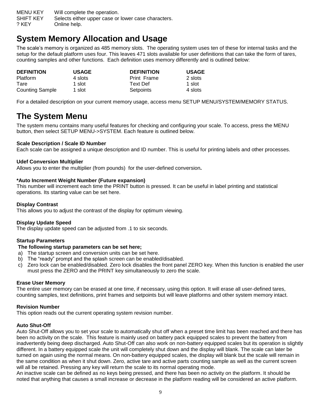MENU KEY Will complete the operation. SHIFT KEY Selects either upper case or lower case characters. ? KEY Online help.

### **System Memory Allocation and Usage**

The scale's memory is organized as 485 memory slots. The operating system uses ten of these for internal tasks and the setup for the default platform uses four. This leaves 471 slots available for user definitions that can take the form of tares, counting samples and other functions. Each definition uses memory differently and is outlined below:

| <b>DEFINITION</b>      | <b>USAGE</b> | <b>DEFINITION</b> | <b>USAGE</b> |
|------------------------|--------------|-------------------|--------------|
| <b>Platform</b>        | 4 slots      | Print Frame       | 2 slots      |
| <b>Tare</b>            | 1 slot       | Text Def          | 1 slot       |
| <b>Counting Sample</b> | 1 slot       | Setpoints         | 4 slots      |

For a detailed description on your current memory usage, access menu SETUP MENU/SYSTEM/MEMORY STATUS.

### **The System Menu**

The system menu contains many useful features for checking and configuring your scale. To access, press the MENU button, then select SETUP MENU->SYSTEM. Each feature is outlined below.

### **Scale Description / Scale ID Number**

Each scale can be assigned a unique description and ID number. This is useful for printing labels and other processes.

### **Udef Conversion Multiplier**

Allows you to enter the multiplier (from pounds) for the user-defined conversion**.**

### **\*Auto Increment Weight Number (Future expansion)**

This number will increment each time the PRINT button is pressed. It can be useful in label printing and statistical operations. Its starting value can be set here.

#### **Display Contrast**

This allows you to adjust the contrast of the display for optimum viewing.

### **Display Update Speed**

The display update speed can be adjusted from .1 to six seconds.

### **Startup Parameters**

### **The following startup parameters can be set here;**

- a) The startup screen and conversion units can be set here.
- b) The "ready" prompt and the splash screen can be enabled/disabled.
- c) Zero lock can be enabled/disabled. Zero lock disables the front panel ZERO key. When this function is enabled the user must press the ZERO and the PRINT key simultaneously to zero the scale.

#### **Erase User Memory**

The entire user memory can be erased at one time, if necessary, using this option. It will erase all user-defined tares, counting samples, text definitions, print frames and setpoints but will leave platforms and other system memory intact.

### **Revision Number**

This option reads out the current operating system revision number.

#### **Auto Shut-Off**

Auto Shut-Off allows you to set your scale to automatically shut off when a preset time limit has been reached and there has been no activity on the scale. This feature is mainly used on battery pack equipped scales to prevent the battery from inadvertently being deep discharged. Auto Shut-Off can also work on non-battery equipped scales but its operation is slightly different. In a battery equipped scale the unit will completely shut down and the display will blank. The scale can later be turned on again using the normal means. On non-battery equipped scales, the display will blank but the scale will remain in the same condition as when it shut down. Zero, active tare and active parts counting sample as well as the current screen will all be retained. Pressing any key will return the scale to its normal operating mode.

An inactive scale can be defined as no keys being pressed, and there has been no activity on the platform. It should be noted that anything that causes a small increase or decrease in the platform reading will be considered an active platform.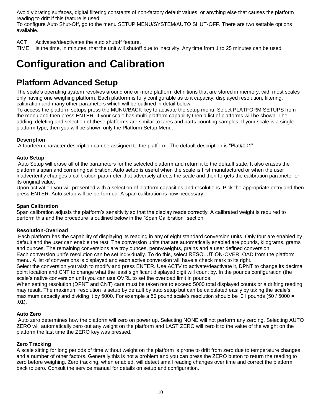Avoid vibrating surfaces, digital filtering constants of non-factory default values, or anything else that causes the platform reading to drift if this feature is used.

To configure Auto Shut-Off, go to the menu SETUP MENU/SYSTEM/AUTO SHUT-OFF. There are two settable options available.

ACT Activates/deactivates the auto shutoff feature.

TIME Is the time, in minutes, that the unit will shutoff due to inactivity. Any time from 1 to 25 minutes can be used.

## **Configuration and Calibration**

### **Platform Advanced Setup**

The scale's operating system revolves around one or more platform definitions that are stored in memory, with most scales only having one weighing platform. Each platform is fully configurable as to it capacity, displayed resolution, filtering, calibration and many other parameters which will be outlined in detail below.

To access the platform setups press the MUNU/BACK key to activate the setup menu. Select PLATFORM SETUPS from the menu and then press ENTER. If your scale has multi-platform capability then a list of platforms will be shown. The adding, deleting and selection of these platforms are similar to tares and parts counting samples. If your scale is a single platform type, then you will be shown only the Platform Setup Menu.

### **Description**

A fourteen-character description can be assigned to the platform. The default description is "Plat#001".

#### **Auto Setup**

Auto Setup will erase all of the parameters for the selected platform and return it to the default state. It also erases the platform's span and cornering calibration. Auto setup is useful when the scale is first manufactured or when the user inadvertently changes a calibration parameter that adversely affects the scale and then forgets the calibration parameter or its original value.

Upon activation you will presented with a selection of platform capacities and resolutions. Pick the appropriate entry and then press ENTER. Auto setup will be performed. A span calibration is now necessary.

#### **Span Calibration**

Span calibration adjusts the platform's sensitivity so that the display reads correctly. A calibrated weight is required to perform this and the procedure is outlined below in the "Span Calibration" section.

### **Resolution-Overload**

Each platform has the capability of displaying its reading in any of eight standard conversion units. Only four are enabled by default and the user can enable the rest. The conversion units that are automatically enabled are pounds, kilograms, grams and ounces. The remaining conversions are troy ounces, pennyweights, grains and a user defined conversion. Each conversion unit's resolution can be set individually. To do this, select RESOLUTION-OVERLOAD from the platform menu. A list of conversions is displayed and each active conversion will have a check mark to its right.

Select the conversion you wish to modify and press ENTER. Use ACTV to activate/deactivate it, DPNT to change its decimal point location and CNT to change what the least significant displayed digit will count by. In the pounds configuration (the scale's native conversion unit) you can use OVRL to set the overload limit in pounds.

When setting resolution (DPNT and CNT) care must be taken not to exceed 5000 total displayed counts or a drifting reading may result. The maximum resolution is setup by default by auto setup but can be calculated easily by taking the scale's maximum capacity and dividing it by 5000. For example a 50 pound scale's resolution should be .01 pounds (50 / 5000 = .01).

### **Auto Zero**

Auto zero determines how the platform will zero on power up. Selecting NONE will not perform any zeroing. Selecting AUTO ZERO will automatically zero out any weight on the platform and LAST ZERO will zero it to the value of the weight on the platform the last time the ZERO key was pressed.

### **Zero Tracking**

A scale sitting for long periods of time without weight on the platform is prone to drift from zero due to temperature changes and a number of other factors. Generally this is not a problem and you can press the ZERO button to return the reading to zero before weighing. Zero tracking, when enabled, will detect small reading changes over time and correct the platform back to zero. Consult the service manual for details on setup and configuration.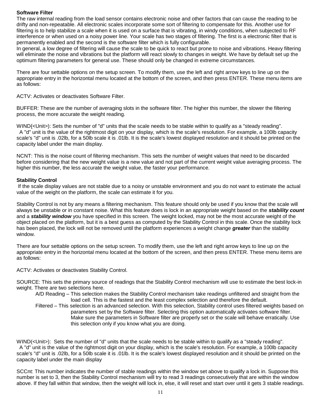#### **Software Filter**

The raw internal reading from the load sensor contains electronic noise and other factors that can cause the reading to be drifty and non-repeatable. All electronic scales incorporate some sort of filtering to compensate for this. Another use for filtering is to help stabilize a scale when it is used on a surface that is vibrating, in windy conditions, when subjected to RF interference or when used on a noisy power line. Your scale has two stages of filtering. The first is a electronic filter that is permanently enabled and the second is the software filter which is fully configurable.

In general, a low degree of filtering will cause the scale to be quick to react but prone to noise and vibrations. Heavy filtering will eliminate the noise and vibrations but the platform will react slowly to changes in weight. We have by default set up the optimum filtering parameters for general use. These should only be changed in extreme circumstances.

There are four settable options on the setup screen. To modify them, use the left and right arrow keys to line up on the appropriate entry in the horizontal menu located at the bottom of the screen, and then press ENTER. These menu items are as follows:

ACTV: Activates or deactivates Software Filter.

BUFFER: These are the number of averaging slots in the software filter. The higher this number, the slower the filtering process, the more accurate the weight reading.

WIND{<Unit>): Sets the number of "d" units that the scale needs to be stable within to qualify as a "steady reading". A "d" unit is the value of the rightmost digit on your display, which is the scale's resolution. For example, a 100lb capacity scale's "d" unit is .02lb, for a 50lb scale it is .01lb. It is the scale's lowest displayed resolution and it should be printed on the capacity label under the main display.

NCNT: This is the noise count of filtering mechanism. This sets the number of weight values that need to be discarded before considering that the new weight value is a new value and not part of the current weight value averaging process. The higher this number, the less accurate the weight value, the faster your performance.

#### **Stability Control**

If the scale display values are not stable due to a noisy or unstable environment and you do not want to estimate the actual value of the weight on the platform, the scale can estimate it for you.

Stability Control is not by any means a filtering mechanism. This feature should only be used if you know that the scale will always be unstable or in constant noise. What this feature does is lock in an appropriate weight based on the *stability count* and a *stability window* you have specified in this screen. The weight locked, may not be the most accurate weight of the object placed on the platform, but it is a best guess as computed by the Stability Control in this scale. Once the stability lock has been placed, the lock will not be removed until the platform experiences a weight change *greater* than the stability window.

There are four settable options on the setup screen. To modify them, use the left and right arrow keys to line up on the appropriate entry in the horizontal menu located at the bottom of the screen, and then press ENTER. These menu items are as follows:

ACTV: Activates or deactivates Stability Control.

SOURCE: This sets the primary source of readings that the Stability Control mechanism will use to estimate the best lock-in weight. There are two selections here.

A/D Reading – This selection makes the Stability Control mechanism take readings unfiltered and straight from the load cell. This is the fastest and the least complex selection and therefore the default.

Filtered – This selection is an advanced selection. With this selection, Stability control uses filtered weights based on parameters set by the Software filter. Selecting this option automatically activates software filter. Make sure the parameters in Software filter are properly set or the scale will behave erratically. Use this selection only if you know what you are doing.

WIND(<Unit>): Sets the number of "d" units that the scale needs to be stable within to qualify as a "steady reading". A "d" unit is the value of the rightmost digit on your display, which is the scale's resolution. For example, a 100lb capacity scale's "d" unit is .02lb, for a 50lb scale it is .01lb. It is the scale's lowest displayed resolution and it should be printed on the capacity label under the main display

SCCnt: This number indicates the number of stable readings within the window set above to qualify a lock in. Suppose this number is set to 3, then the Stability Control mechanism will try to read 3 readings consecutively that are within the window above. If they fall within that window, then the weight will lock in, else, it will reset and start over until it gets 3 stable readings.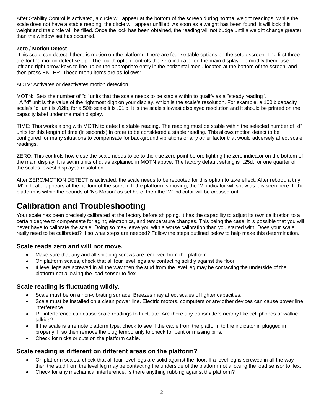After Stability Control is activated, a circle will appear at the bottom of the screen during normal weight readings. While the scale does not have a stable reading, the circle will appear unfilled. As soon as a weight has been found, it will lock this weight and the circle will be filled. Once the lock has been obtained, the reading will not budge until a weight change greater than the window set has occurred.

### **Zero / Motion Detect**

This scale can detect if there is motion on the platform. There are four settable options on the setup screen. The first three are for the motion detect setup. The fourth option controls the zero indicator on the main display. To modify them, use the left and right arrow keys to line up on the appropriate entry in the horizontal menu located at the bottom of the screen, and then press ENTER. These menu items are as follows:

ACTV: Activates or deactivates motion detection.

MOTN: Sets the number of "d" units that the scale needs to be stable within to qualify as a "steady reading". A "d" unit is the value of the rightmost digit on your display, which is the scale's resolution. For example, a 100lb capacity scale's "d" unit is .02lb, for a 50lb scale it is .01lb. It is the scale's lowest displayed resolution and it should be printed on the capacity label under the main display.

TIME: This works along with MOTN to detect a stable reading. The reading must be stable within the selected number of "d" units for this length of time (in seconds) in order to be considered a stable reading. This allows motion detect to be configured for many situations to compensate for background vibrations or any other factor that would adversely affect scale readings.

ZERO: This controls how close the scale needs to be to the true zero point before lighting the zero indicator on the bottom of the main display. It is set in units of d, as explained in MOTN above. The factory default setting is .25d, or one quarter of the scales lowest displayed resolution.

After ZERO/MOTION DETECT is activated, the scale needs to be rebooted for this option to take effect. After reboot, a tiny 'M' indicator appears at the bottom of the screen. If the platform is moving, the 'M' indicator will show as it is seen here. If the platform is within the bounds of 'No Motion' as set here, then the 'M' indicator will be crossed out.

### **Calibration and Troubleshooting**

Your scale has been precisely calibrated at the factory before shipping. It has the capability to adjust its own calibration to a certain degree to compensate for aging electronics, and temperature changes. This being the case, it is possible that you will never have to calibrate the scale. Doing so may leave you with a worse calibration than you started with. Does your scale really need to be calibrated? If so what steps are needed? Follow the steps outlined below to help make this determination.

### **Scale reads zero and will not move.**

- Make sure that any and all shipping screws are removed from the platform.
- On platform scales, check that all four level legs are contacting solidly against the floor.
- If level legs are screwed in all the way then the stud from the level leg may be contacting the underside of the platform not allowing the load sensor to flex.

### **Scale reading is fluctuating wildly.**

- Scale must be on a non-vibrating surface. Breezes may affect scales of lighter capacities.
- Scale must be installed on a clean power line. Electric motors, computers or any other devices can cause power line interference.
- RF interference can cause scale readings to fluctuate. Are there any transmitters nearby like cell phones or walkietalkies?
- If the scale is a remote platform type, check to see if the cable from the platform to the indicator in plugged in properly. If so then remove the plug temporarily to check for bent or missing pins.
- Check for nicks or cuts on the platform cable.

### **Scale reading is different on different areas on the platform?**

- On platform scales, check that all four level legs are solid against the floor. If a level leg is screwed in all the way then the stud from the level leg may be contacting the underside of the platform not allowing the load sensor to flex.
- Check for any mechanical interference. Is there anything rubbing against the platform?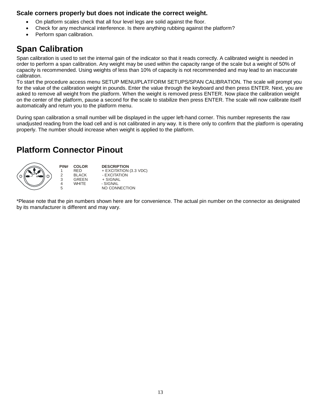### **Scale corners properly but does not indicate the correct weight.**

- On platform scales check that all four level legs are solid against the floor.
- Check for any mechanical interference. Is there anything rubbing against the platform?
- Perform span calibration.

### **Span Calibration**

Span calibration is used to set the internal gain of the indicator so that it reads correctly. A calibrated weight is needed in order to perform a span calibration. Any weight may be used within the capacity range of the scale but a weight of 50% of capacity is recommended. Using weights of less than 10% of capacity is not recommended and may lead to an inaccurate calibration.

To start the procedure access menu SETUP MENU/PLATFORM SETUPS/SPAN CALIBRATION. The scale will prompt you for the value of the calibration weight in pounds. Enter the value through the keyboard and then press ENTER. Next, you are asked to remove all weight from the platform. When the weight is removed press ENTER. Now place the calibration weight on the center of the platform, pause a second for the scale to stabilize then press ENTER. The scale will now calibrate itself automatically and return you to the platform menu.

During span calibration a small number will be displayed in the upper left-hand corner. This number represents the raw unadjusted reading from the load cell and is not calibrated in any way. It is there only to confirm that the platform is operating properly. The number should increase when weight is applied to the platform.

### **Platform Connector Pinout**



\*Please note that the pin numbers shown here are for convenience. The actual pin number on the connector as designated by its manufacturer is different and may vary.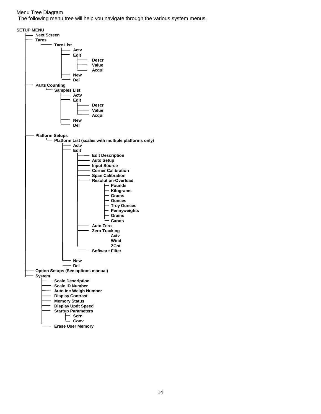#### Menu Tree Diagram

The following menu tree will help you navigate through the various system menus.